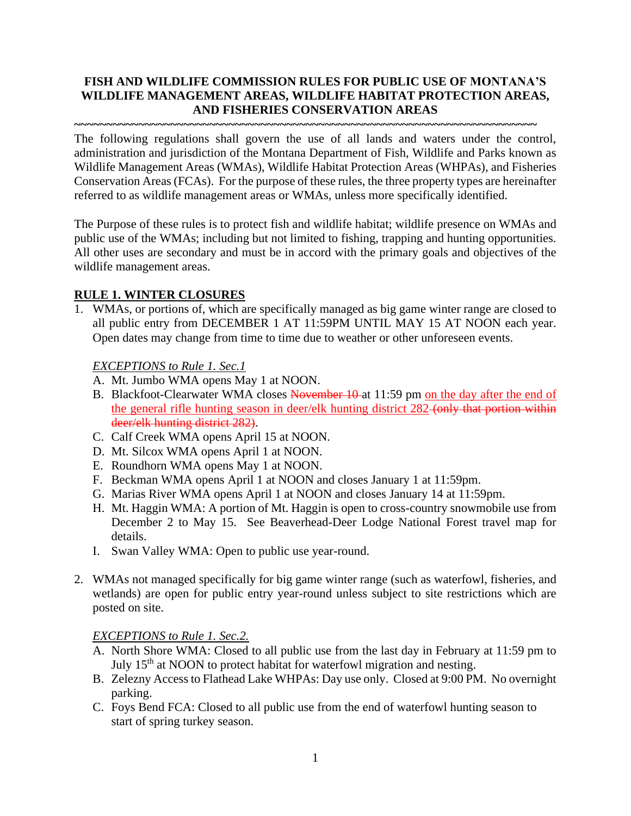## **FISH AND WILDLIFE COMMISSION RULES FOR PUBLIC USE OF MONTANA'S WILDLIFE MANAGEMENT AREAS, WILDLIFE HABITAT PROTECTION AREAS, AND FISHERIES CONSERVATION AREAS**

**~~~~~~~~~~~~~~~~~~~~~~~~~~~~~~~~~~~~~~~~~~~~~~~~~~~~~~~~~~~~~~~~~~~~~~~~**

The following regulations shall govern the use of all lands and waters under the control, administration and jurisdiction of the Montana Department of Fish, Wildlife and Parks known as Wildlife Management Areas (WMAs), Wildlife Habitat Protection Areas (WHPAs), and Fisheries Conservation Areas (FCAs). For the purpose of these rules, the three property types are hereinafter referred to as wildlife management areas or WMAs, unless more specifically identified.

The Purpose of these rules is to protect fish and wildlife habitat; wildlife presence on WMAs and public use of the WMAs; including but not limited to fishing, trapping and hunting opportunities. All other uses are secondary and must be in accord with the primary goals and objectives of the wildlife management areas.

## **RULE 1. WINTER CLOSURES**

1. WMAs, or portions of, which are specifically managed as big game winter range are closed to all public entry from DECEMBER 1 AT 11:59PM UNTIL MAY 15 AT NOON each year. Open dates may change from time to time due to weather or other unforeseen events.

### *EXCEPTIONS to Rule 1. Sec.1*

- A. Mt. Jumbo WMA opens May 1 at NOON.
- B. Blackfoot-Clearwater WMA closes November 10-at 11:59 pm on the day after the end of the general rifle hunting season in deer/elk hunting district 282 (only that portion within deer/elk hunting district 282).
- C. Calf Creek WMA opens April 15 at NOON.
- D. Mt. Silcox WMA opens April 1 at NOON.
- E. Roundhorn WMA opens May 1 at NOON.
- F. Beckman WMA opens April 1 at NOON and closes January 1 at 11:59pm.
- G. Marias River WMA opens April 1 at NOON and closes January 14 at 11:59pm.
- H. Mt. Haggin WMA: A portion of Mt. Haggin is open to cross-country snowmobile use from December 2 to May 15. See Beaverhead-Deer Lodge National Forest travel map for details.
- I. Swan Valley WMA: Open to public use year-round.
- 2. WMAs not managed specifically for big game winter range (such as waterfowl, fisheries, and wetlands) are open for public entry year-round unless subject to site restrictions which are posted on site.

### *EXCEPTIONS to Rule 1. Sec.2.*

- A. North Shore WMA: Closed to all public use from the last day in February at 11:59 pm to July 15<sup>th</sup> at NOON to protect habitat for waterfowl migration and nesting.
- B. Zelezny Access to Flathead Lake WHPAs: Day use only. Closed at 9:00 PM. No overnight parking.
- C. Foys Bend FCA: Closed to all public use from the end of waterfowl hunting season to start of spring turkey season.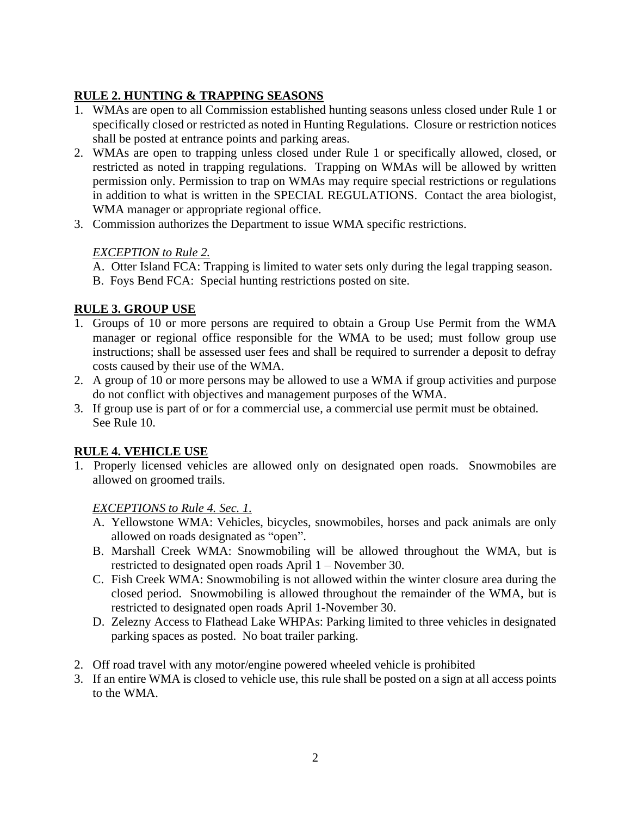# **RULE 2. HUNTING & TRAPPING SEASONS**

- 1. WMAs are open to all Commission established hunting seasons unless closed under Rule 1 or specifically closed or restricted as noted in Hunting Regulations. Closure or restriction notices shall be posted at entrance points and parking areas.
- 2. WMAs are open to trapping unless closed under Rule 1 or specifically allowed, closed, or restricted as noted in trapping regulations. Trapping on WMAs will be allowed by written permission only. Permission to trap on WMAs may require special restrictions or regulations in addition to what is written in the SPECIAL REGULATIONS. Contact the area biologist, WMA manager or appropriate regional office.
- 3. Commission authorizes the Department to issue WMA specific restrictions.

# *EXCEPTION to Rule 2.*

A. Otter Island FCA: Trapping is limited to water sets only during the legal trapping season.

B. Foys Bend FCA: Special hunting restrictions posted on site.

# **RULE 3. GROUP USE**

- 1. Groups of 10 or more persons are required to obtain a Group Use Permit from the WMA manager or regional office responsible for the WMA to be used; must follow group use instructions; shall be assessed user fees and shall be required to surrender a deposit to defray costs caused by their use of the WMA.
- 2. A group of 10 or more persons may be allowed to use a WMA if group activities and purpose do not conflict with objectives and management purposes of the WMA.
- 3. If group use is part of or for a commercial use, a commercial use permit must be obtained. See Rule 10.

# **RULE 4. VEHICLE USE**

1. Properly licensed vehicles are allowed only on designated open roads. Snowmobiles are allowed on groomed trails.

## *EXCEPTIONS to Rule 4. Sec. 1.*

- A. Yellowstone WMA: Vehicles, bicycles, snowmobiles, horses and pack animals are only allowed on roads designated as "open".
- B. Marshall Creek WMA: Snowmobiling will be allowed throughout the WMA, but is restricted to designated open roads April 1 – November 30.
- C. Fish Creek WMA: Snowmobiling is not allowed within the winter closure area during the closed period. Snowmobiling is allowed throughout the remainder of the WMA, but is restricted to designated open roads April 1-November 30.
- D. Zelezny Access to Flathead Lake WHPAs: Parking limited to three vehicles in designated parking spaces as posted. No boat trailer parking.
- 2. Off road travel with any motor/engine powered wheeled vehicle is prohibited
- 3. If an entire WMA is closed to vehicle use, this rule shall be posted on a sign at all access points to the WMA.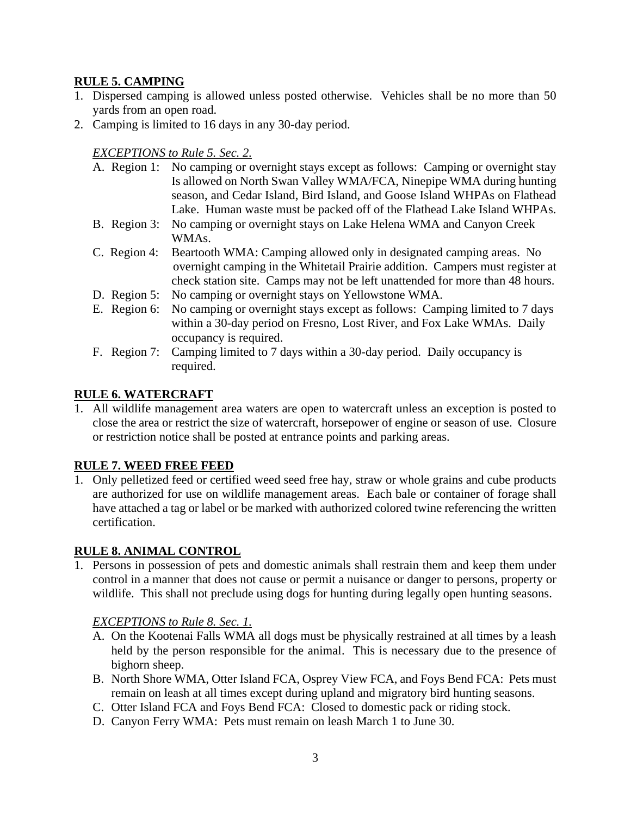### **RULE 5. CAMPING**

- 1. Dispersed camping is allowed unless posted otherwise. Vehicles shall be no more than 50 yards from an open road.
- 2. Camping is limited to 16 days in any 30-day period.

*EXCEPTIONS to Rule 5. Sec. 2.*

|                 | A. Region 1: No camping or overnight stays except as follows: Camping or overnight stay |
|-----------------|-----------------------------------------------------------------------------------------|
|                 | Is allowed on North Swan Valley WMA/FCA, Ninepipe WMA during hunting                    |
|                 | season, and Cedar Island, Bird Island, and Goose Island WHPAs on Flathead               |
|                 | Lake. Human waste must be packed off of the Flathead Lake Island WHPAs.                 |
| B. Region 3:    | No camping or overnight stays on Lake Helena WMA and Canyon Creek                       |
|                 | WMAs.                                                                                   |
| C. Region 4:    | Beartooth WMA: Camping allowed only in designated camping areas. No                     |
|                 | overnight camping in the Whitetail Prairie addition. Campers must register at           |
|                 | check station site. Camps may not be left unattended for more than 48 hours.            |
| D. Region $5$ : | No camping or overnight stays on Yellowstone WMA.                                       |
| E. Region 6:    | No camping or overnight stays except as follows: Camping limited to 7 days              |
|                 | within a 30-day period on Fresno, Lost River, and Fox Lake WMAs. Daily                  |
|                 | occupancy is required.                                                                  |
|                 |                                                                                         |

F. Region 7: Camping limited to 7 days within a 30-day period. Daily occupancy is required.

### **RULE 6. WATERCRAFT**

1. All wildlife management area waters are open to watercraft unless an exception is posted to close the area or restrict the size of watercraft, horsepower of engine or season of use. Closure or restriction notice shall be posted at entrance points and parking areas.

### **RULE 7. WEED FREE FEED**

1. Only pelletized feed or certified weed seed free hay, straw or whole grains and cube products are authorized for use on wildlife management areas. Each bale or container of forage shall have attached a tag or label or be marked with authorized colored twine referencing the written certification.

### **RULE 8. ANIMAL CONTROL**

1. Persons in possession of pets and domestic animals shall restrain them and keep them under control in a manner that does not cause or permit a nuisance or danger to persons, property or wildlife. This shall not preclude using dogs for hunting during legally open hunting seasons.

### *EXCEPTIONS to Rule 8. Sec. 1.*

- A. On the Kootenai Falls WMA all dogs must be physically restrained at all times by a leash held by the person responsible for the animal. This is necessary due to the presence of bighorn sheep.
- B. North Shore WMA, Otter Island FCA, Osprey View FCA, and Foys Bend FCA: Pets must remain on leash at all times except during upland and migratory bird hunting seasons.
- C. Otter Island FCA and Foys Bend FCA: Closed to domestic pack or riding stock.
- D. Canyon Ferry WMA: Pets must remain on leash March 1 to June 30.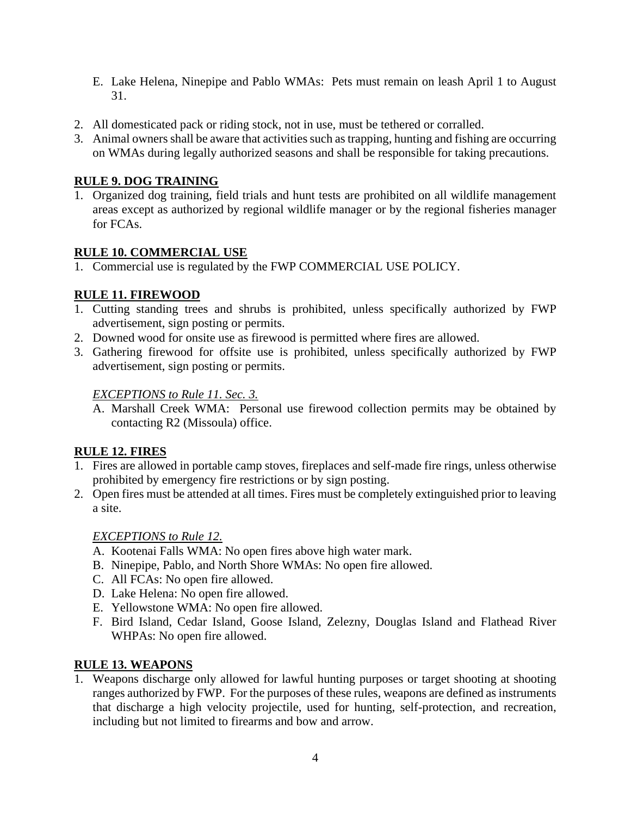- E. Lake Helena, Ninepipe and Pablo WMAs: Pets must remain on leash April 1 to August 31.
- 2. All domesticated pack or riding stock, not in use, must be tethered or corralled.
- 3. Animal owners shall be aware that activities such as trapping, hunting and fishing are occurring on WMAs during legally authorized seasons and shall be responsible for taking precautions.

### **RULE 9. DOG TRAINING**

1. Organized dog training, field trials and hunt tests are prohibited on all wildlife management areas except as authorized by regional wildlife manager or by the regional fisheries manager for FCAs.

### **RULE 10. COMMERCIAL USE**

1. Commercial use is regulated by the FWP COMMERCIAL USE POLICY.

## **RULE 11. FIREWOOD**

- 1. Cutting standing trees and shrubs is prohibited, unless specifically authorized by FWP advertisement, sign posting or permits.
- 2. Downed wood for onsite use as firewood is permitted where fires are allowed.
- 3. Gathering firewood for offsite use is prohibited, unless specifically authorized by FWP advertisement, sign posting or permits.

### *EXCEPTIONS to Rule 11. Sec. 3.*

A. Marshall Creek WMA: Personal use firewood collection permits may be obtained by contacting R2 (Missoula) office.

### **RULE 12. FIRES**

- 1. Fires are allowed in portable camp stoves, fireplaces and self-made fire rings, unless otherwise prohibited by emergency fire restrictions or by sign posting.
- 2. Open fires must be attended at all times. Fires must be completely extinguished prior to leaving a site.

### *EXCEPTIONS to Rule 12.*

- A. Kootenai Falls WMA: No open fires above high water mark.
- B. Ninepipe, Pablo, and North Shore WMAs: No open fire allowed.
- C. All FCAs: No open fire allowed.
- D. Lake Helena: No open fire allowed.
- E. Yellowstone WMA: No open fire allowed.
- F. Bird Island, Cedar Island, Goose Island, Zelezny, Douglas Island and Flathead River WHPAs: No open fire allowed.

### **RULE 13. WEAPONS**

1. Weapons discharge only allowed for lawful hunting purposes or target shooting at shooting ranges authorized by FWP. For the purposes of these rules, weapons are defined as instruments that discharge a high velocity projectile, used for hunting, self-protection, and recreation, including but not limited to firearms and bow and arrow.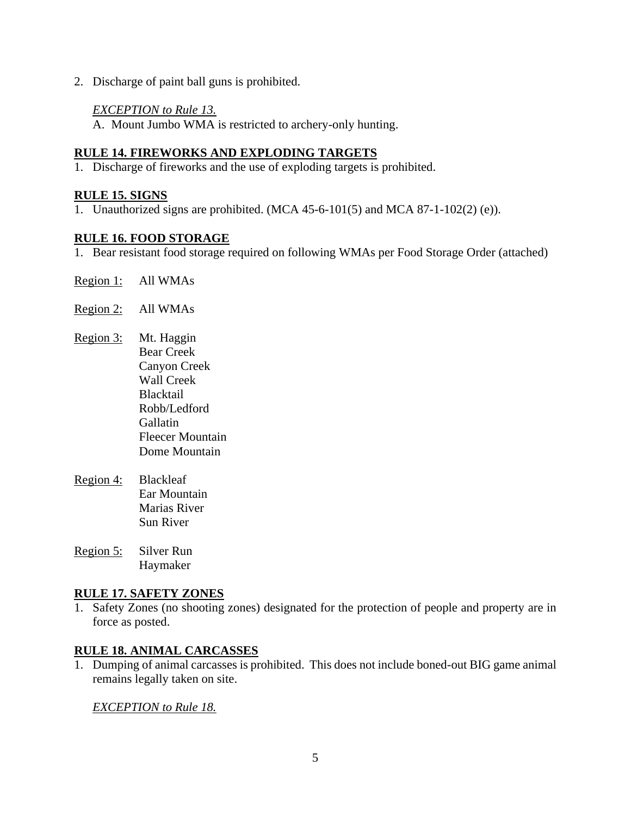2. Discharge of paint ball guns is prohibited.

#### *EXCEPTION to Rule 13.*

A. Mount Jumbo WMA is restricted to archery-only hunting.

### **RULE 14. FIREWORKS AND EXPLODING TARGETS**

1. Discharge of fireworks and the use of exploding targets is prohibited.

#### **RULE 15. SIGNS**

1. Unauthorized signs are prohibited. (MCA 45-6-101(5) and MCA 87-1-102(2) (e)).

### **RULE 16. FOOD STORAGE**

- 1. Bear resistant food storage required on following WMAs per Food Storage Order (attached)
- Region 1: All WMAs
- Region 2: All WMAs
- Region 3: Mt. Haggin Bear Creek Canyon Creek Wall Creek Blacktail Robb/Ledford Gallatin Fleecer Mountain Dome Mountain
- Region 4: Blackleaf Ear Mountain Marias River Sun River
- Region 5: Silver Run Haymaker

#### **RULE 17. SAFETY ZONES**

1. Safety Zones (no shooting zones) designated for the protection of people and property are in force as posted.

#### **RULE 18. ANIMAL CARCASSES**

1. Dumping of animal carcasses is prohibited. This does not include boned-out BIG game animal remains legally taken on site.

*EXCEPTION to Rule 18.*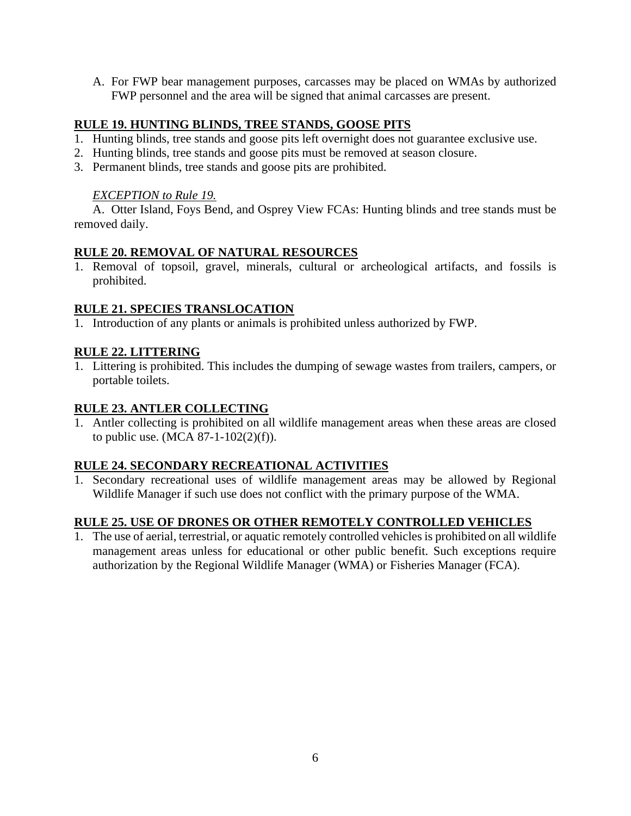A. For FWP bear management purposes, carcasses may be placed on WMAs by authorized FWP personnel and the area will be signed that animal carcasses are present.

### **RULE 19. HUNTING BLINDS, TREE STANDS, GOOSE PITS**

- 1. Hunting blinds, tree stands and goose pits left overnight does not guarantee exclusive use.
- 2. Hunting blinds, tree stands and goose pits must be removed at season closure.
- 3. Permanent blinds, tree stands and goose pits are prohibited.

### *EXCEPTION to Rule 19.*

A. Otter Island, Foys Bend, and Osprey View FCAs: Hunting blinds and tree stands must be removed daily.

### **RULE 20. REMOVAL OF NATURAL RESOURCES**

1. Removal of topsoil, gravel, minerals, cultural or archeological artifacts, and fossils is prohibited.

### **RULE 21. SPECIES TRANSLOCATION**

1. Introduction of any plants or animals is prohibited unless authorized by FWP.

### **RULE 22. LITTERING**

1. Littering is prohibited. This includes the dumping of sewage wastes from trailers, campers, or portable toilets.

### **RULE 23. ANTLER COLLECTING**

1. Antler collecting is prohibited on all wildlife management areas when these areas are closed to public use. (MCA  $87-1-102(2)(f)$ ).

### **RULE 24. SECONDARY RECREATIONAL ACTIVITIES**

1. Secondary recreational uses of wildlife management areas may be allowed by Regional Wildlife Manager if such use does not conflict with the primary purpose of the WMA.

### **RULE 25. USE OF DRONES OR OTHER REMOTELY CONTROLLED VEHICLES**

1. The use of aerial, terrestrial, or aquatic remotely controlled vehicles is prohibited on all wildlife management areas unless for educational or other public benefit. Such exceptions require authorization by the Regional Wildlife Manager (WMA) or Fisheries Manager (FCA).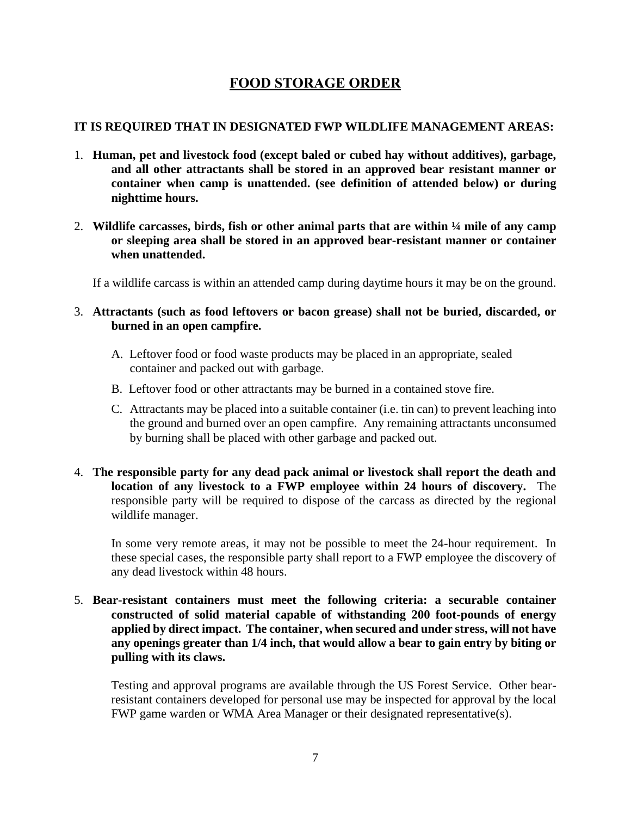# **FOOD STORAGE ORDER**

### **IT IS REQUIRED THAT IN DESIGNATED FWP WILDLIFE MANAGEMENT AREAS:**

- 1. **Human, pet and livestock food (except baled or cubed hay without additives), garbage, and all other attractants shall be stored in an approved bear resistant manner or container when camp is unattended. (see definition of attended below) or during nighttime hours.**
- 2. **Wildlife carcasses, birds, fish or other animal parts that are within ¼ mile of any camp or sleeping area shall be stored in an approved bear-resistant manner or container when unattended.**

If a wildlife carcass is within an attended camp during daytime hours it may be on the ground.

- 3. **Attractants (such as food leftovers or bacon grease) shall not be buried, discarded, or burned in an open campfire.**
	- A. Leftover food or food waste products may be placed in an appropriate, sealed container and packed out with garbage.
	- B. Leftover food or other attractants may be burned in a contained stove fire.
	- C. Attractants may be placed into a suitable container (i.e. tin can) to prevent leaching into the ground and burned over an open campfire. Any remaining attractants unconsumed by burning shall be placed with other garbage and packed out.
- 4. **The responsible party for any dead pack animal or livestock shall report the death and location of any livestock to a FWP employee within 24 hours of discovery.** The responsible party will be required to dispose of the carcass as directed by the regional wildlife manager.

In some very remote areas, it may not be possible to meet the 24-hour requirement. In these special cases, the responsible party shall report to a FWP employee the discovery of any dead livestock within 48 hours.

5. **Bear-resistant containers must meet the following criteria: a securable container constructed of solid material capable of withstanding 200 foot-pounds of energy applied by direct impact. The container, when secured and under stress, will not have any openings greater than 1/4 inch, that would allow a bear to gain entry by biting or pulling with its claws.**

Testing and approval programs are available through the US Forest Service. Other bearresistant containers developed for personal use may be inspected for approval by the local FWP game warden or WMA Area Manager or their designated representative(s).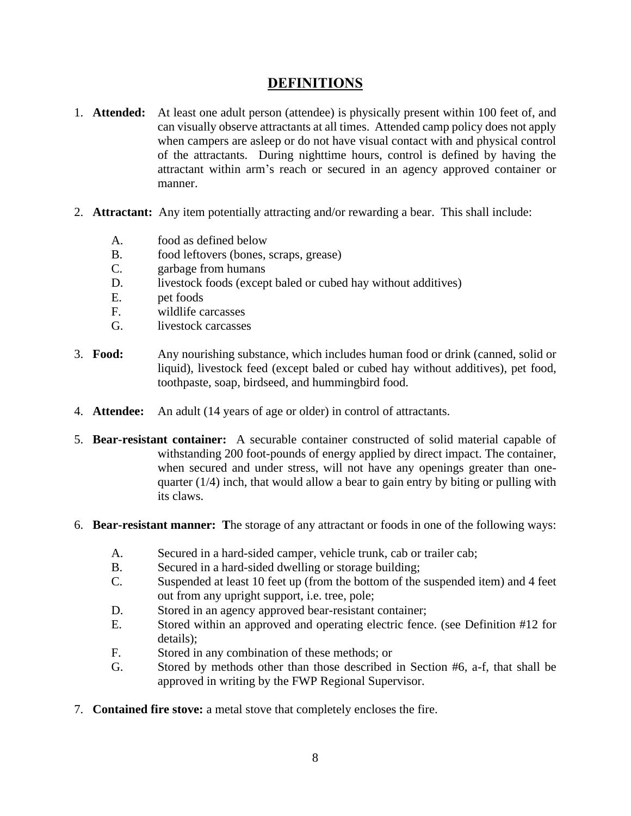# **DEFINITIONS**

- 1. **Attended:** At least one adult person (attendee) is physically present within 100 feet of, and can visually observe attractants at all times. Attended camp policy does not apply when campers are asleep or do not have visual contact with and physical control of the attractants. During nighttime hours, control is defined by having the attractant within arm's reach or secured in an agency approved container or manner.
- 2. **Attractant:** Any item potentially attracting and/or rewarding a bear. This shall include:
	- A. food as defined below
	- B. food leftovers (bones, scraps, grease)
	- C. garbage from humans
	- D. livestock foods (except baled or cubed hay without additives)
	- E. pet foods
	- F. wildlife carcasses
	- G. livestock carcasses
- 3. **Food:** Any nourishing substance, which includes human food or drink (canned, solid or liquid), livestock feed (except baled or cubed hay without additives), pet food, toothpaste, soap, birdseed, and hummingbird food.
- 4. **Attendee:** An adult (14 years of age or older) in control of attractants.
- 5. **Bear-resistant container:** A securable container constructed of solid material capable of withstanding 200 foot-pounds of energy applied by direct impact. The container, when secured and under stress, will not have any openings greater than onequarter  $(1/4)$  inch, that would allow a bear to gain entry by biting or pulling with its claws.
- 6. **Bear-resistant manner: T**he storage of any attractant or foods in one of the following ways:
	- A. Secured in a hard-sided camper, vehicle trunk, cab or trailer cab;
	- B. Secured in a hard-sided dwelling or storage building;
	- C. Suspended at least 10 feet up (from the bottom of the suspended item) and 4 feet out from any upright support, i.e. tree, pole;
	- D. Stored in an agency approved bear-resistant container;
	- E. Stored within an approved and operating electric fence. (see Definition #12 for details);
	- F. Stored in any combination of these methods; or
	- G. Stored by methods other than those described in Section #6, a-f, that shall be approved in writing by the FWP Regional Supervisor.
- 7. **Contained fire stove:** a metal stove that completely encloses the fire.